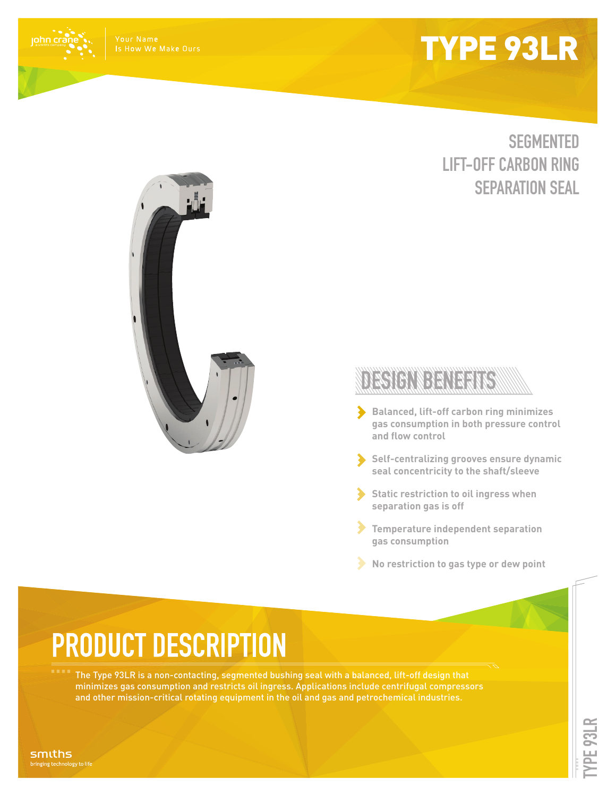# TYPE 93LR



### **SEGMENTED LIFT-OFF CARBON RING SEPARATION SEAL**



- **Balanced, lift-off carbon ring minimizes gas consumption in both pressure control and flow control**
- **Self-centralizing grooves ensure dynamic seal concentricity to the shaft/sleeve**
- **Static restriction to oil ingress when separation gas is off**
- **Temperature independent separation gas consumption**
- **No restriction to gas type or dew point**

# **PRODUCT DESCRIPTION**

The Type 93LR is a non-contacting, segmented bushing seal with a balanced, lift-off design that minimizes gas consumption and restricts oil ingress. Applications include centrifugal compressors and other mission-critical rotating equipment in the oil and gas and petrochemical industries.

**TYPE 93LR**